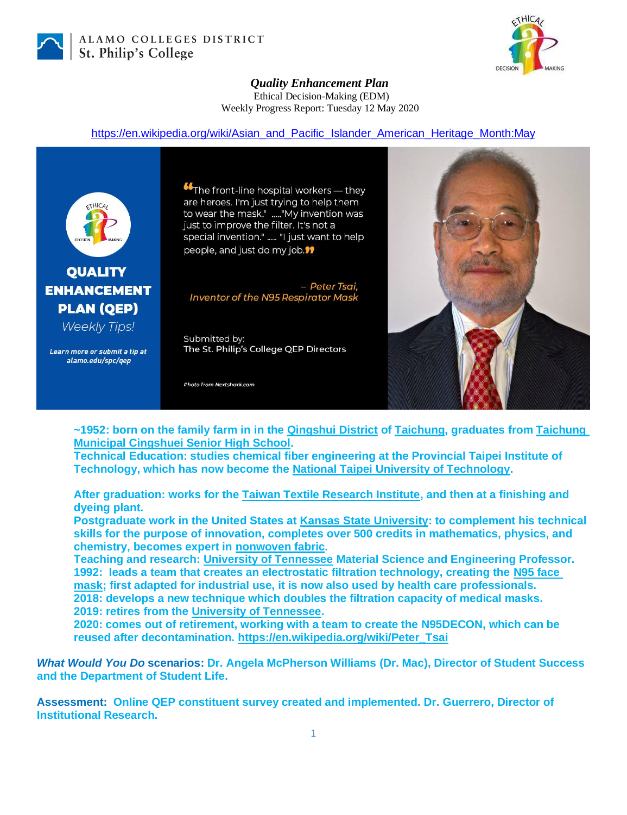

ALAMO COLLEGES DISTRICT St. Philip's College



## *Quality Enhancement Plan* Ethical Decision-Making (EDM) Weekly Progress Report: Tuesday 12 May 2020

## [https://en.wikipedia.org/wiki/Asian\\_and\\_Pacific\\_Islander\\_American\\_Heritage\\_Month:May](https://en.wikipedia.org/wiki/Asian_and_Pacific_Islander_American_Heritage_Month:May)



## **QUALITY ENHANCEMENT PLAN (OEP)**

**Weekly Tips!** 

Learn more or submit a tip at alamo.edu/spc/gep

**"The front-line hospital workers** — they are heroes. I'm just trying to help them to wear the mask." ....."My invention was just to improve the filter. It's not a special invention." ..... "I just want to help people, and just do my job.<sup>99</sup>

- Peter Tsai, **Inventor of the N95 Respirator Mask** 

Submitted by: The St. Philip's College QEP Directors

Photo from Nextshark.com



**~1952: born on the family farm in in the [Qingshui District](https://en.wikipedia.org/wiki/Qingshui_District) of [Taichung,](https://en.wikipedia.org/wiki/Taichung) graduates from [Taichung](https://en.wikipedia.org/wiki/National_Qingshui_Senior_High_School)  [Municipal Cingshuei Senior High School.](https://en.wikipedia.org/wiki/National_Qingshui_Senior_High_School)**

**Technical Education: studies chemical fiber engineering at the Provincial Taipei Institute of Technology, which has now become the [National Taipei University of Technology.](https://en.wikipedia.org/wiki/National_Taipei_University_of_Technology)**

**After graduation: works for the [Taiwan Textile Research Institute,](https://en.wikipedia.org/wiki/Taiwan_Textile_Research_Institute) and then at a finishing and dyeing plant.**

**Postgraduate work in the United States at [Kansas State University:](https://en.wikipedia.org/wiki/Kansas_State_University) to complement his technical skills for the purpose of innovation, completes over 500 credits in mathematics, physics, and chemistry, becomes expert in [nonwoven fabric.](https://en.wikipedia.org/wiki/Nonwoven_fabric)**

**Teaching and research: [University of Tennessee](https://en.wikipedia.org/wiki/University_of_Tennessee) Material Science and Engineering Professor. 1992: leads a team that creates an electrostatic filtration technology, creating the [N95 face](https://en.wikipedia.org/wiki/N95_mask)  [mask;](https://en.wikipedia.org/wiki/N95_mask) first adapted for industrial use, it is now also used by health care professionals. 2018: develops a new technique which doubles the filtration capacity of medical masks. 2019: retires from the [University of Tennessee.](https://en.wikipedia.org/wiki/University_of_Tennessee)**

**2020: comes out of retirement, working with a team to create the N95DECON, which can be reused after decontamination. [https://en.wikipedia.org/wiki/Peter\\_Tsai](https://en.wikipedia.org/wiki/Peter_Tsai)**

*What Would You Do* **scenarios: Dr. Angela McPherson Williams (Dr. Mac), Director of Student Success and the Department of Student Life.**

**Assessment: Online QEP constituent survey created and implemented. Dr. Guerrero, Director of Institutional Research.**